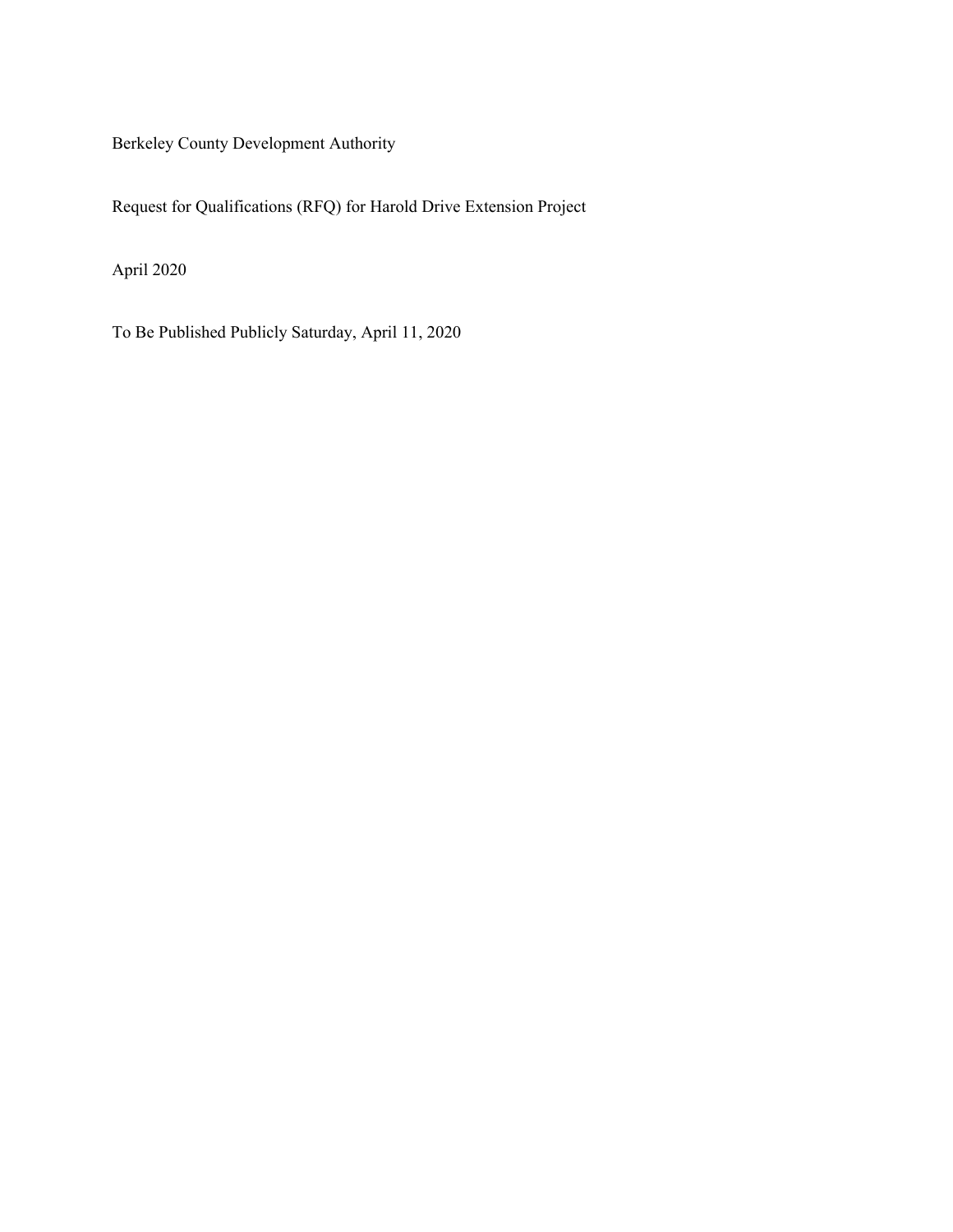Berkeley County Development Authority

Request for Qualifications (RFQ) for Harold Drive Extension Project

April 2020

To Be Published Publicly Saturday, April 11, 2020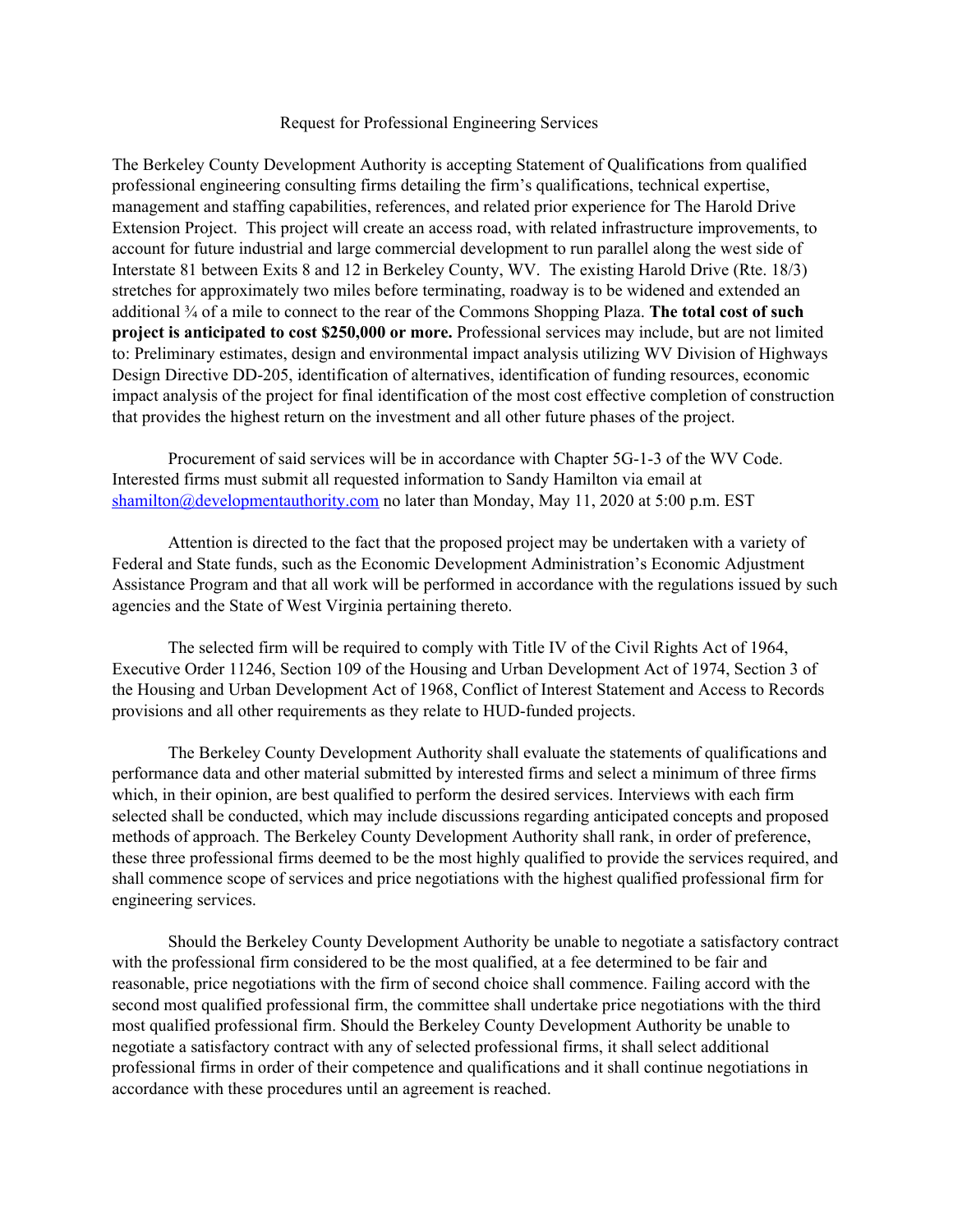#### Request for Professional Engineering Services

The Berkeley County Development Authority is accepting Statement of Qualifications from qualified professional engineering consulting firms detailing the firm's qualifications, technical expertise, management and staffing capabilities, references, and related prior experience for The Harold Drive Extension Project. This project will create an access road, with related infrastructure improvements, to account for future industrial and large commercial development to run parallel along the west side of Interstate 81 between Exits 8 and 12 in Berkeley County, WV. The existing Harold Drive (Rte. 18/3) stretches for approximately two miles before terminating, roadway is to be widened and extended an additional ¾ of a mile to connect to the rear of the Commons Shopping Plaza. **The total cost of such project is anticipated to cost \$250,000 or more.** Professional services may include, but are not limited to: Preliminary estimates, design and environmental impact analysis utilizing WV Division of Highways Design Directive DD-205, identification of alternatives, identification of funding resources, economic impact analysis of the project for final identification of the most cost effective completion of construction that provides the highest return on the investment and all other future phases of the project.

Procurement of said services will be in accordance with Chapter 5G-1-3 of the WV Code. Interested firms must submit all requested information to Sandy Hamilton via email at [shamilton@developmentauthority.com](mailto:shamilton@developmentauthority.com) no later than Monday, May 11, 2020 at 5:00 p.m. EST

Attention is directed to the fact that the proposed project may be undertaken with a variety of Federal and State funds, such as the Economic Development Administration's Economic Adjustment Assistance Program and that all work will be performed in accordance with the regulations issued by such agencies and the State of West Virginia pertaining thereto.

The selected firm will be required to comply with Title IV of the Civil Rights Act of 1964, Executive Order 11246, Section 109 of the Housing and Urban Development Act of 1974, Section 3 of the Housing and Urban Development Act of 1968, Conflict of Interest Statement and Access to Records provisions and all other requirements as they relate to HUD-funded projects.

The Berkeley County Development Authority shall evaluate the statements of qualifications and performance data and other material submitted by interested firms and select a minimum of three firms which, in their opinion, are best qualified to perform the desired services. Interviews with each firm selected shall be conducted, which may include discussions regarding anticipated concepts and proposed methods of approach. The Berkeley County Development Authority shall rank, in order of preference, these three professional firms deemed to be the most highly qualified to provide the services required, and shall commence scope of services and price negotiations with the highest qualified professional firm for engineering services.

Should the Berkeley County Development Authority be unable to negotiate a satisfactory contract with the professional firm considered to be the most qualified, at a fee determined to be fair and reasonable, price negotiations with the firm of second choice shall commence. Failing accord with the second most qualified professional firm, the committee shall undertake price negotiations with the third most qualified professional firm. Should the Berkeley County Development Authority be unable to negotiate a satisfactory contract with any of selected professional firms, it shall select additional professional firms in order of their competence and qualifications and it shall continue negotiations in accordance with these procedures until an agreement is reached.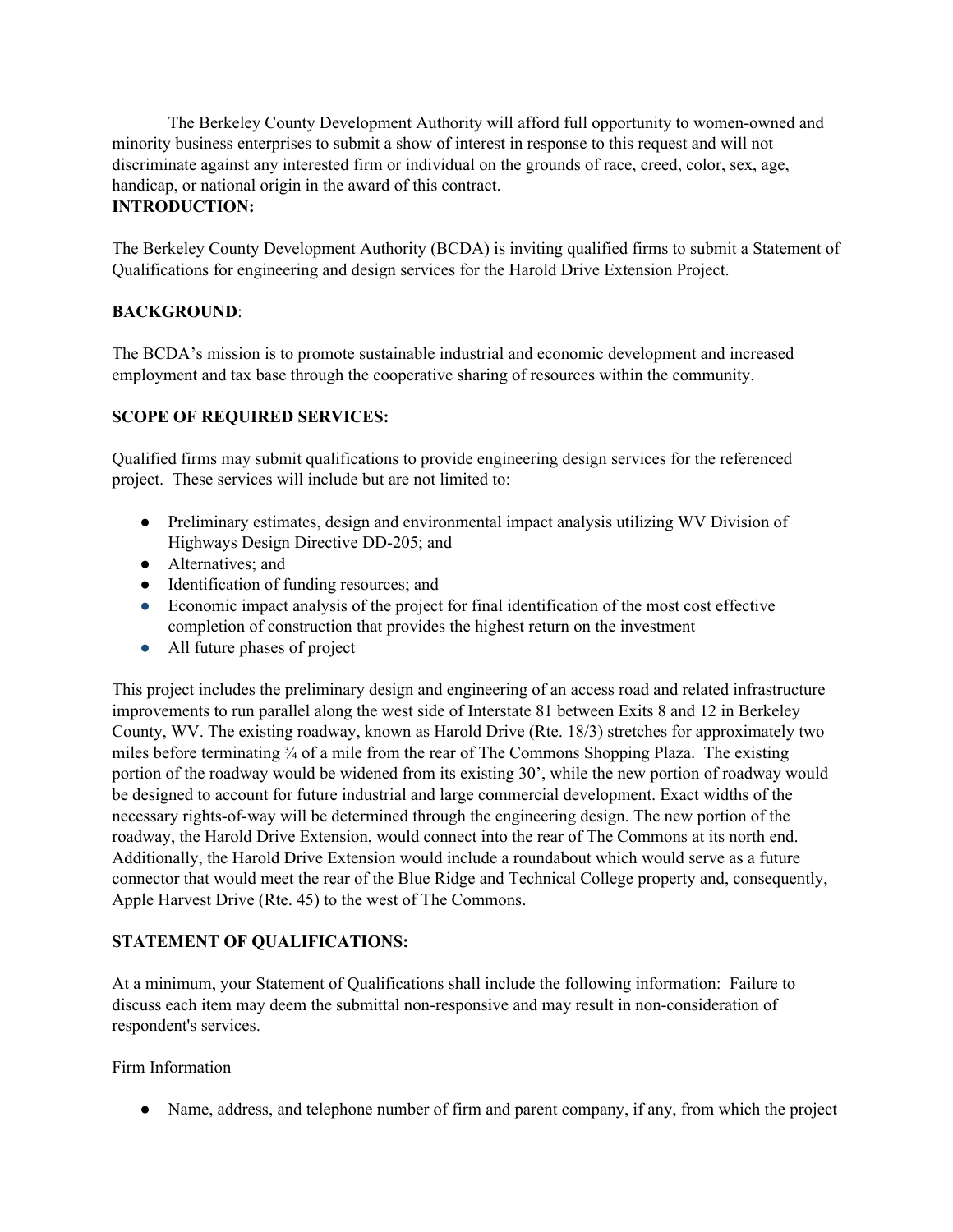The Berkeley County Development Authority will afford full opportunity to women-owned and minority business enterprises to submit a show of interest in response to this request and will not discriminate against any interested firm or individual on the grounds of race, creed, color, sex, age, handicap, or national origin in the award of this contract. **INTRODUCTION:**

The Berkeley County Development Authority (BCDA) is inviting qualified firms to submit a Statement of Qualifications for engineering and design services for the Harold Drive Extension Project.

# **BACKGROUND**:

The BCDA's mission is to promote sustainable industrial and economic development and increased employment and tax base through the cooperative sharing of resources within the community.

# **SCOPE OF REQUIRED SERVICES:**

Qualified firms may submit qualifications to provide engineering design services for the referenced project. These services will include but are not limited to:

- Preliminary estimates, design and environmental impact analysis utilizing WV Division of Highways Design Directive DD-205; and
- Alternatives: and
- Identification of funding resources; and
- Economic impact analysis of the project for final identification of the most cost effective completion of construction that provides the highest return on the investment
- All future phases of project

This project includes the preliminary design and engineering of an access road and related infrastructure improvements to run parallel along the west side of Interstate 81 between Exits 8 and 12 in Berkeley County, WV. The existing roadway, known as Harold Drive (Rte. 18/3) stretches for approximately two miles before terminating  $\frac{3}{4}$  of a mile from the rear of The Commons Shopping Plaza. The existing portion of the roadway would be widened from its existing 30', while the new portion of roadway would be designed to account for future industrial and large commercial development. Exact widths of the necessary rights-of-way will be determined through the engineering design. The new portion of the roadway, the Harold Drive Extension, would connect into the rear of The Commons at its north end. Additionally, the Harold Drive Extension would include a roundabout which would serve as a future connector that would meet the rear of the Blue Ridge and Technical College property and, consequently, Apple Harvest Drive (Rte. 45) to the west of The Commons.

# **STATEMENT OF QUALIFICATIONS:**

At a minimum, your Statement of Qualifications shall include the following information: Failure to discuss each item may deem the submittal non-responsive and may result in non-consideration of respondent's services.

Firm Information

• Name, address, and telephone number of firm and parent company, if any, from which the project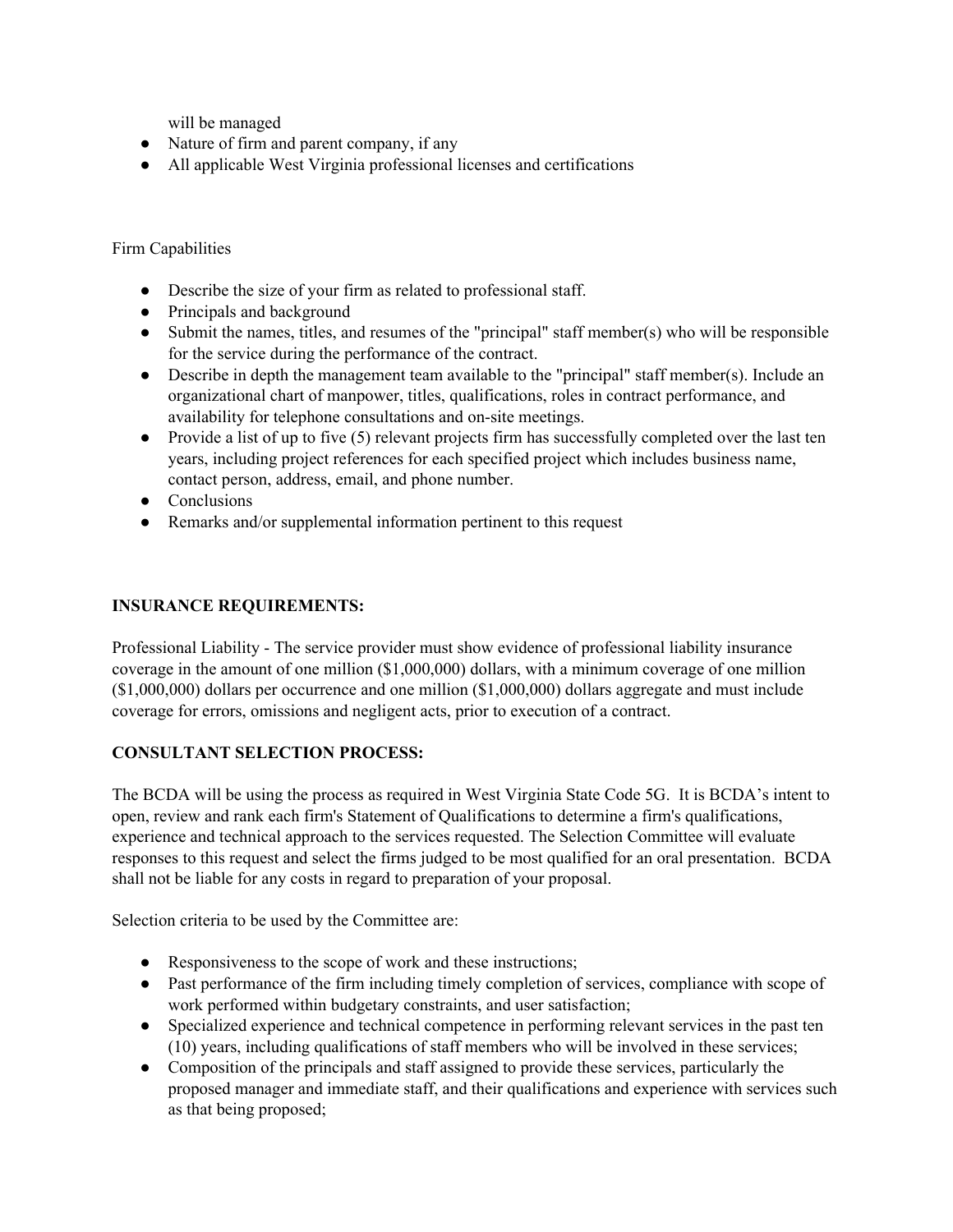will be managed

- Nature of firm and parent company, if any
- All applicable West Virginia professional licenses and certifications

#### Firm Capabilities

- Describe the size of your firm as related to professional staff.
- Principals and background
- Submit the names, titles, and resumes of the "principal" staff member(s) who will be responsible for the service during the performance of the contract.
- Describe in depth the management team available to the "principal" staff member(s). Include an organizational chart of manpower, titles, qualifications, roles in contract performance, and availability for telephone consultations and on-site meetings.
- Provide a list of up to five (5) relevant projects firm has successfully completed over the last ten years, including project references for each specified project which includes business name, contact person, address, email, and phone number.
- Conclusions
- Remarks and/or supplemental information pertinent to this request

#### **INSURANCE REQUIREMENTS:**

Professional Liability - The service provider must show evidence of professional liability insurance coverage in the amount of one million (\$1,000,000) dollars, with a minimum coverage of one million (\$1,000,000) dollars per occurrence and one million (\$1,000,000) dollars aggregate and must include coverage for errors, omissions and negligent acts, prior to execution of a contract.

### **CONSULTANT SELECTION PROCESS:**

The BCDA will be using the process as required in West Virginia State Code 5G. It is BCDA's intent to open, review and rank each firm's Statement of Qualifications to determine a firm's qualifications, experience and technical approach to the services requested. The Selection Committee will evaluate responses to this request and select the firms judged to be most qualified for an oral presentation. BCDA shall not be liable for any costs in regard to preparation of your proposal.

Selection criteria to be used by the Committee are:

- Responsiveness to the scope of work and these instructions;
- Past performance of the firm including timely completion of services, compliance with scope of work performed within budgetary constraints, and user satisfaction;
- Specialized experience and technical competence in performing relevant services in the past ten (10) years, including qualifications of staff members who will be involved in these services;
- Composition of the principals and staff assigned to provide these services, particularly the proposed manager and immediate staff, and their qualifications and experience with services such as that being proposed;